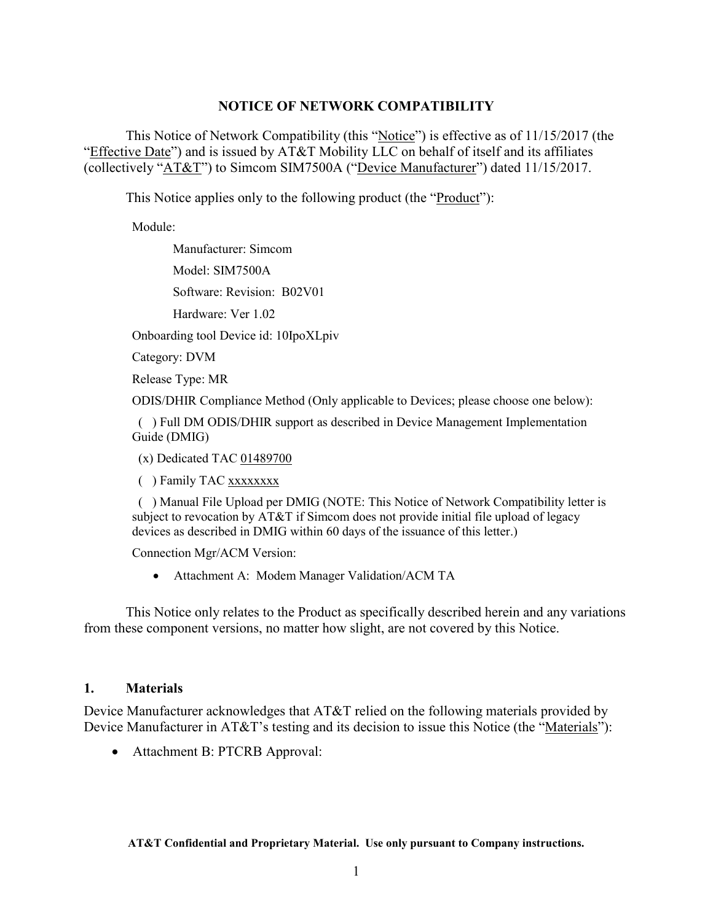#### **NOTICE OF NETWORK COMPATIBILITY**

This Notice of Network Compatibility (this "Notice") is effective as of 11/15/2017 (the "Effective Date") and is issued by AT&T Mobility LLC on behalf of itself and its affiliates (collectively "AT&T") to Simcom SIM7500A ("Device Manufacturer") dated 11/15/2017.

This Notice applies only to the following product (the "*Product*"):

Module:

Manufacturer: Simcom

Model: SIM7500A

Software: Revision: B02V01

Hardware: Ver 1.02

Onboarding tool Device id: 10IpoXLpiv

Category: DVM

Release Type: MR

ODIS/DHIR Compliance Method (Only applicable to Devices; please choose one below):

 ( ) Full DM ODIS/DHIR support as described in Device Management Implementation Guide (DMIG)

(x) Dedicated TAC 01489700

( ) Family TAC xxxxxxxx

 ( ) Manual File Upload per DMIG (NOTE: This Notice of Network Compatibility letter is subject to revocation by AT&T if Simcom does not provide initial file upload of legacy devices as described in DMIG within 60 days of the issuance of this letter.)

Connection Mgr/ACM Version:

• Attachment A: Modem Manager Validation/ACM TA

This Notice only relates to the Product as specifically described herein and any variations from these component versions, no matter how slight, are not covered by this Notice.

## **1. Materials**

Device Manufacturer acknowledges that AT&T relied on the following materials provided by Device Manufacturer in AT&T's testing and its decision to issue this Notice (the "Materials"):

• Attachment B: PTCRB Approval: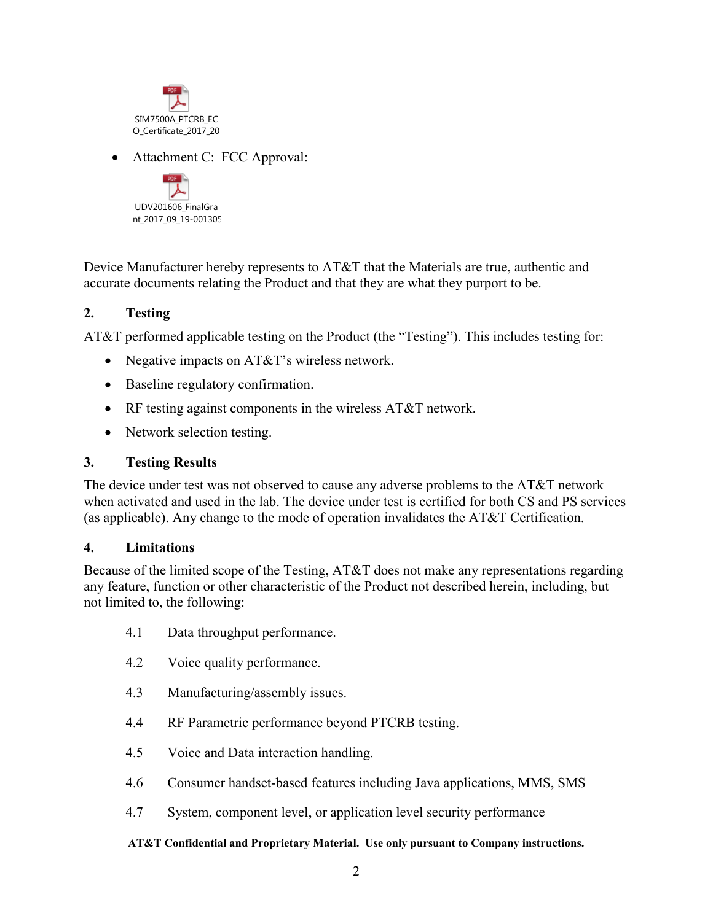

• Attachment C: FCC Approval:



Device Manufacturer hereby represents to AT&T that the Materials are true, authentic and accurate documents relating the Product and that they are what they purport to be.

## **2. Testing**

AT&T performed applicable testing on the Product (the "Testing"). This includes testing for:

- Negative impacts on AT&T's wireless network.
- Baseline regulatory confirmation.
- RF testing against components in the wireless AT&T network.
- Network selection testing.

## **3. Testing Results**

The device under test was not observed to cause any adverse problems to the AT&T network when activated and used in the lab. The device under test is certified for both CS and PS services (as applicable). Any change to the mode of operation invalidates the AT&T Certification.

## **4. Limitations**

Because of the limited scope of the Testing, AT&T does not make any representations regarding any feature, function or other characteristic of the Product not described herein, including, but not limited to, the following:

- 4.1 Data throughput performance.
- 4.2 Voice quality performance.
- 4.3 Manufacturing/assembly issues.
- 4.4 RF Parametric performance beyond PTCRB testing.
- 4.5 Voice and Data interaction handling.
- 4.6 Consumer handset-based features including Java applications, MMS, SMS
- 4.7 System, component level, or application level security performance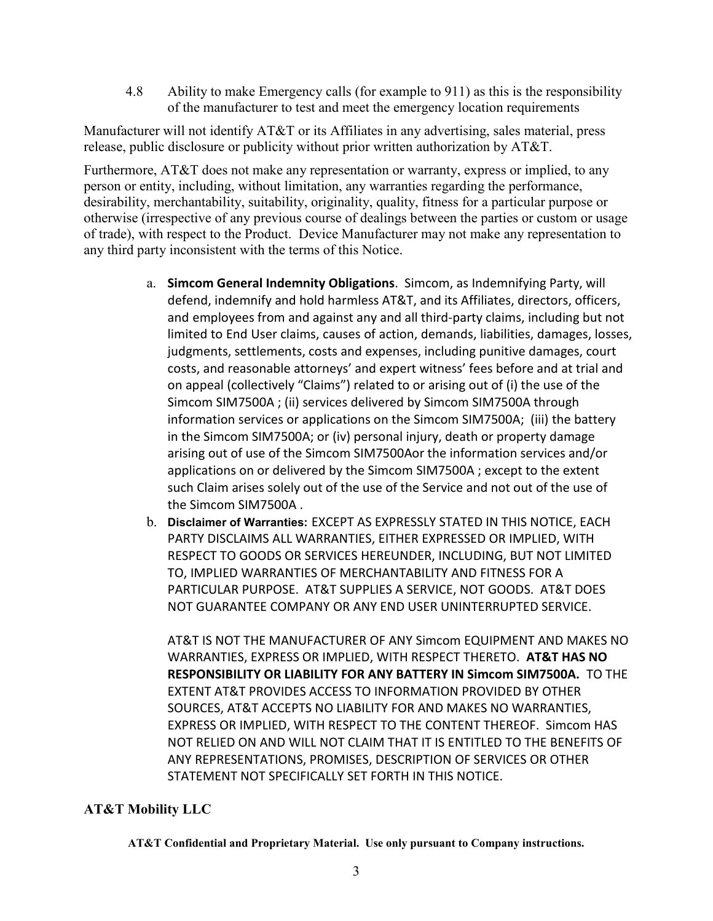4.8 Ability to make Emergency calls (for example to 911) as this is the responsibility of the manufacturer to test and meet the emergency location requirements

Manufacturer will not identify AT&T or its Affiliates in any advertising, sales material, press release, public disclosure or publicity without prior written authorization by AT&T.

Furthermore, AT&T does not make any representation or warranty, express or implied, to any person or entity, including, without limitation, any warranties regarding the performance, desirability, merchantability, suitability, originality, quality, fitness for a particular purpose or otherwise (irrespective of any previous course of dealings between the parties or custom or usage of trade), with respect to the Product. Device Manufacturer may not make any representation to any third party inconsistent with the terms of this Notice.

- a. **Simcom General Indemnity Obligations**. Simcom, as Indemnifying Party, will defend, indemnify and hold harmless AT&T, and its Affiliates, directors, officers, and employees from and against any and all third-party claims, including but not limited to End User claims, causes of action, demands, liabilities, damages, losses, judgments, settlements, costs and expenses, including punitive damages, court costs, and reasonable attorneys' and expert witness' fees before and at trial and on appeal (collectively "Claims") related to or arising out of (i) the use of the Simcom SIM7500A ; (ii) services delivered by Simcom SIM7500A through information services or applications on the Simcom SIM7500A; (iii) the battery in the Simcom SIM7500A; or (iv) personal injury, death or property damage arising out of use of the Simcom SIM7500Aor the information services and/or applications on or delivered by the Simcom SIM7500A ; except to the extent such Claim arises solely out of the use of the Service and not out of the use of the Simcom SIM7500A .
- b. **Disclaimer of Warranties:** EXCEPT AS EXPRESSLY STATED IN THIS NOTICE, EACH PARTY DISCLAIMS ALL WARRANTIES, EITHER EXPRESSED OR IMPLIED, WITH RESPECT TO GOODS OR SERVICES HEREUNDER, INCLUDING, BUT NOT LIMITED TO, IMPLIED WARRANTIES OF MERCHANTABILITY AND FITNESS FOR A PARTICULAR PURPOSE. AT&T SUPPLIES A SERVICE, NOT GOODS. AT&T DOES NOT GUARANTEE COMPANY OR ANY END USER UNINTERRUPTED SERVICE.

AT&T IS NOT THE MANUFACTURER OF ANY Simcom EQUIPMENT AND MAKES NO WARRANTIES, EXPRESS OR IMPLIED, WITH RESPECT THERETO. **AT&T HAS NO RESPONSIBILITY OR LIABILITY FOR ANY BATTERY IN Simcom SIM7500A.** TO THE EXTENT AT&T PROVIDES ACCESS TO INFORMATION PROVIDED BY OTHER SOURCES, AT&T ACCEPTS NO LIABILITY FOR AND MAKES NO WARRANTIES, EXPRESS OR IMPLIED, WITH RESPECT TO THE CONTENT THEREOF. Simcom HAS NOT RELIED ON AND WILL NOT CLAIM THAT IT IS ENTITLED TO THE BENEFITS OF ANY REPRESENTATIONS, PROMISES, DESCRIPTION OF SERVICES OR OTHER STATEMENT NOT SPECIFICALLY SET FORTH IN THIS NOTICE.

# **AT&T Mobility LLC**